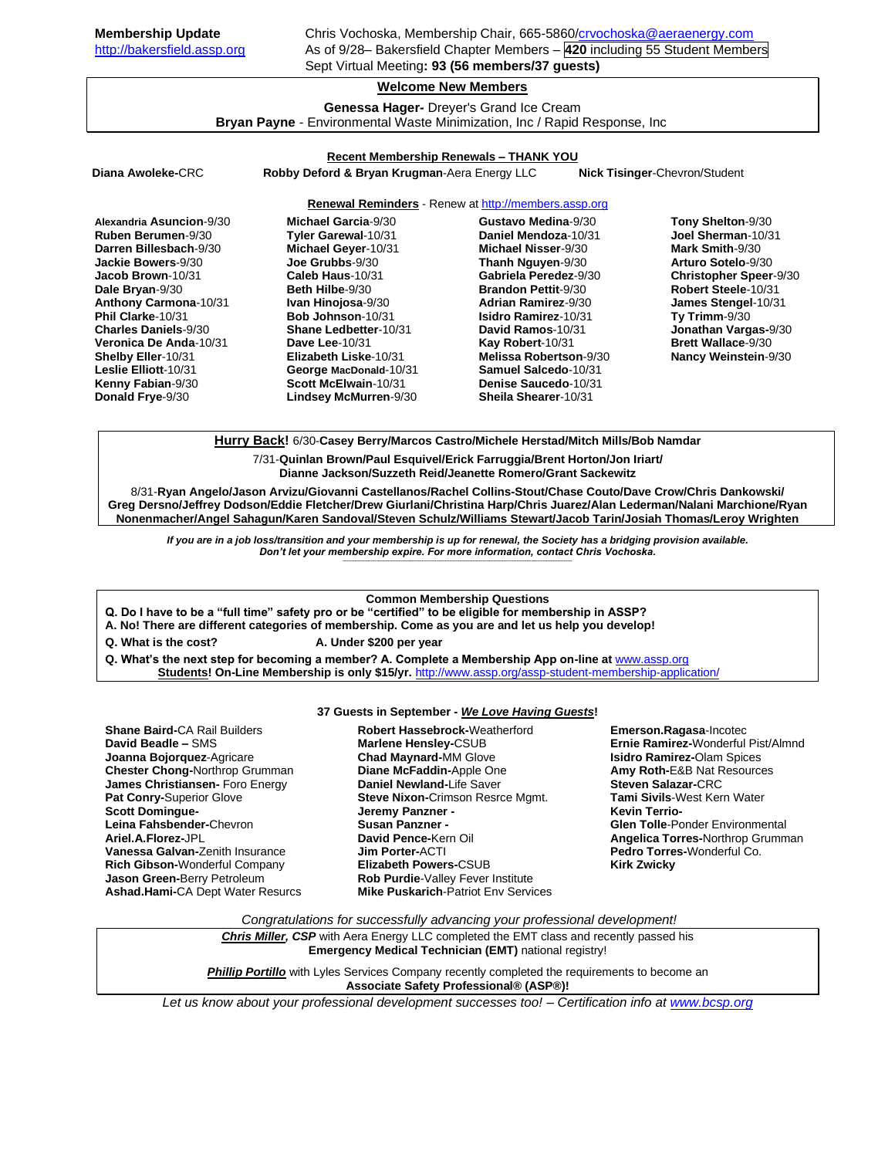**Membership Update** Chris Vochoska, Membership Chair, 665-5860[/crvochoska@aeraenergy.com](mailto:crvochoska@aeraenergy.com) [http://bakersfield.assp.org](http://bakersfield.assp.org/) As of 9/28– Bakersfield Chapter Members – **420** including 55 Student Members Sept Virtual Meeting**: 93 (56 members/37 guests)**

# **Welcome New Members**

**Genessa Hager-** Dreyer's Grand Ice Cream **Bryan Payne** - Environmental Waste Minimization, Inc / Rapid Response, Inc

### **Recent Membership Renewals – THANK YOU**

**Diana Awoleke-**CRC **Robby Deford & Bryan Krugman**-Aera Energy LLC **Nick Tisinger**-Chevron/Student

## **Renewal Reminders** - Renew a[t http://members.assp.org](http://members.assp.org/)

| Alexandria Asuncion-9/30    | Michael Garcia-9/30          | Gustavo Medina-9/30         | Tony Shelton-9/30             |
|-----------------------------|------------------------------|-----------------------------|-------------------------------|
| Ruben Berumen-9/30          | Tyler Garewal-10/31          | Daniel Mendoza-10/31        | Joel Sherman-10/31            |
| Darren Billesbach-9/30      | Michael Geyer-10/31          | Michael Nisser-9/30         | Mark Smith-9/30               |
| Jackie Bowers-9/30          | Joe Grubbs-9/30              | Thanh Nguyen-9/30           | Arturo Sotelo-9/30            |
| Jacob Brown-10/31           | Caleb Haus-10/31             | Gabriela Peredez-9/30       | <b>Christopher Speer-9/30</b> |
| Dale Bryan-9/30             | <b>Beth Hilbe-9/30</b>       | <b>Brandon Pettit-9/30</b>  | Robert Steele-10/31           |
| Anthony Carmona-10/31       | Ivan Hinojosa-9/30           | <b>Adrian Ramirez-9/30</b>  | James Stengel-10/31           |
| Phil Clarke-10/31           | Bob Johnson-10/31            | <b>Isidro Ramirez-10/31</b> | Ty Trimm- $9/30$              |
| <b>Charles Daniels-9/30</b> | <b>Shane Ledbetter-10/31</b> | David Ramos-10/31           | Jonathan Vargas-9/30          |
| Veronica De Anda-10/31      | Dave Lee-10/31               | Kay Robert-10/31            | <b>Brett Wallace-9/30</b>     |
| <b>Shelby Eller-10/31</b>   | Elizabeth Liske-10/31        | Melissa Robertson-9/30      | <b>Nancy Weinstein-9/30</b>   |
| Leslie Elliott-10/31        | George MacDonald-10/31       | Samuel Salcedo-10/31        |                               |
| <b>Kenny Fabian-9/30</b>    | Scott McElwain-10/31         | Denise Saucedo-10/31        |                               |
| Donald Frye-9/30            | <b>Lindsey McMurren-9/30</b> | <b>Sheila Shearer-10/31</b> |                               |

**Hurry Back!** 6/30-**Casey Berry/Marcos Castro/Michele Herstad/Mitch Mills/Bob Namdar**

7/31-**Quinlan Brown/Paul Esquivel/Erick Farruggia/Brent Horton/Jon Iriart/**

**Dianne Jackson/Suzzeth Reid/Jeanette Romero/Grant Sackewitz**

8/31-**Ryan Angelo/Jason Arvizu/Giovanni Castellanos/Rachel Collins-Stout/Chase Couto/Dave Crow/Chris Dankowski/ Greg Dersno/Jeffrey Dodson/Eddie Fletcher/Drew Giurlani/Christina Harp/Chris Juarez/Alan Lederman/Nalani Marchione/Ryan Nonenmacher/Angel Sahagun/Karen Sandoval/Steven Schulz/Williams Stewart/Jacob Tarin/Josiah Thomas/Leroy Wrighten**

*If you are in a job loss/transition and your membership is up for renewal, the Society has a bridging provision available. Don't let your membership expire. For more information, contact Chris Vochoska.*  **-------------------------------------------------------------------------------------------------------------------------------------------------------------**

#### **Common Membership Questions**

**Q. Do I have to be a "full time" safety pro or be "certified" to be eligible for membership in ASSP?** 

**A. No! There are different categories of membership. Come as you are and let us help you develop!** 

- **Q. What is the cost? A. Under \$200 per year**
	-
- **Q. What's the next step for becoming a member? A. Complete a Membership App on-line at** [www.assp.org](http://www.assp.org/) **Students! On-Line Membership is only \$15/yr.** <http://www.assp.org/assp-student-membership-application/>

#### **37 Guests in September -** *We Love Having Guests***!**

**Shane Baird-**CA Rail Builders **David Beadle –** SMS **Joanna Bojorquez**-Agricare **Chester Chong-**Northrop Grumman **James Christiansen-** Foro Energy **Pat Conry-**Superior Glove **Scott Domingue-Leina Fahsbender-**Chevron **Ariel.A.Florez-**JPL **Vanessa Galvan-**Zenith Insurance **Rich Gibson-**Wonderful Company **Jason Green-**Berry Petroleum **Ashad.Hami-**CA Dept Water Resurcs **Robert Hassebrock-**Weatherford **Marlene Hensley-**CSUB **Chad Maynard-**MM Glove **Diane McFaddin-**Apple One **Daniel Newland-**Life Saver **Steve Nixon-**Crimson Resrce Mgmt. **Jeremy Panzner - Susan Panzner - David Pence-**Kern Oil **Jim Porter-**ACTI **Elizabeth Powers-**CSUB **Rob Purdie**-Valley Fever Institute **Mike Puskarich-Patriot Env Services**  **Emerson.Ragasa**-Incotec **Ernie Ramirez-**Wonderful Pist/Almnd **Isidro Ramirez-**Olam Spices **Amy Roth-**E&B Nat Resources **Steven Salazar-**CRC **Tami Sivils**-West Kern Water **Kevin Terrio-Glen Tolle**-Ponder Environmental **Angelica Torres-**Northrop Grumman **Pedro Torres-**Wonderful Co. **Kirk Zwicky**

*Congratulations for successfully advancing your professional development!*

*Chris Miller, CSP* with Aera Energy LLC completed the EMT class and recently passed his **Emergency Medical Technician (EMT)** national registry!

**Phillip Portillo** with Lyles Services Company recently completed the requirements to become an **Associate Safety Professional® (ASP®)!**

*Let us know about your professional development successes too! – Certification info a[t www.bcsp.org](http://www.bcsp.org/)*